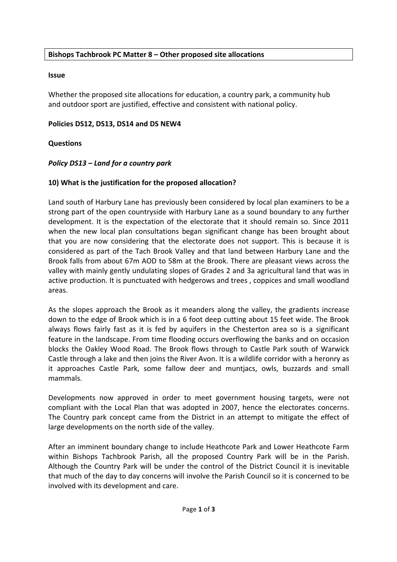## **Bishops Tachbrook PC Matter 8 – Other proposed site allocations**

#### **Issue**

Whether the proposed site allocations for education, a country park, a community hub and outdoor sport are justified, effective and consistent with national policy.

#### Policies DS12, DS13, DS14 and DS NEW4

#### **Questions**

## *Policy DS13* – Land for a country park

## **10)** What is the justification for the proposed allocation?

Land south of Harbury Lane has previously been considered by local plan examiners to be a strong part of the open countryside with Harbury Lane as a sound boundary to any further development. It is the expectation of the electorate that it should remain so. Since 2011 when the new local plan consultations began significant change has been brought about that you are now considering that the electorate does not support. This is because it is considered as part of the Tach Brook Valley and that land between Harbury Lane and the Brook falls from about 67m AOD to 58m at the Brook. There are pleasant views across the valley with mainly gently undulating slopes of Grades 2 and 3a agricultural land that was in active production. It is punctuated with hedgerows and trees, coppices and small woodland areas.

As the slopes approach the Brook as it meanders along the valley, the gradients increase down to the edge of Brook which is in a 6 foot deep cutting about 15 feet wide. The Brook always flows fairly fast as it is fed by aquifers in the Chesterton area so is a significant feature in the landscape. From time flooding occurs overflowing the banks and on occasion blocks the Oakley Wood Road. The Brook flows through to Castle Park south of Warwick Castle through a lake and then joins the River Avon. It is a wildlife corridor with a heronry as it approaches Castle Park, some fallow deer and muntjacs, owls, buzzards and small mammals. 

Developments now approved in order to meet government housing targets, were not compliant with the Local Plan that was adopted in 2007, hence the electorates concerns. The Country park concept came from the District in an attempt to mitigate the effect of large developments on the north side of the valley.

After an imminent boundary change to include Heathcote Park and Lower Heathcote Farm within Bishops Tachbrook Parish, all the proposed Country Park will be in the Parish. Although the Country Park will be under the control of the District Council it is inevitable that much of the day to day concerns will involve the Parish Council so it is concerned to be involved with its development and care.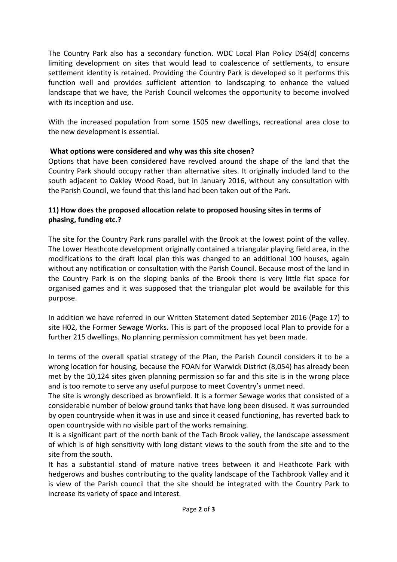The Country Park also has a secondary function. WDC Local Plan Policy DS4(d) concerns limiting development on sites that would lead to coalescence of settlements, to ensure settlement identity is retained. Providing the Country Park is developed so it performs this function well and provides sufficient attention to landscaping to enhance the valued landscape that we have, the Parish Council welcomes the opportunity to become involved with its inception and use.

With the increased population from some 1505 new dwellings, recreational area close to the new development is essential.

# **What options were considered and why was this site chosen?**

Options that have been considered have revolved around the shape of the land that the Country Park should occupy rather than alternative sites. It originally included land to the south adjacent to Oakley Wood Road, but in January 2016, without any consultation with the Parish Council, we found that this land had been taken out of the Park.

# **11)** How does the proposed allocation relate to proposed housing sites in terms of phasing, funding etc.?

The site for the Country Park runs parallel with the Brook at the lowest point of the valley. The Lower Heathcote development originally contained a triangular playing field area, in the modifications to the draft local plan this was changed to an additional 100 houses, again without any notification or consultation with the Parish Council. Because most of the land in the Country Park is on the sloping banks of the Brook there is very little flat space for organised games and it was supposed that the triangular plot would be available for this purpose.

In addition we have referred in our Written Statement dated September 2016 (Page 17) to site H02, the Former Sewage Works. This is part of the proposed local Plan to provide for a further 215 dwellings. No planning permission commitment has yet been made.

In terms of the overall spatial strategy of the Plan, the Parish Council considers it to be a wrong location for housing, because the FOAN for Warwick District (8,054) has already been met by the 10,124 sites given planning permission so far and this site is in the wrong place and is too remote to serve any useful purpose to meet Coventry's unmet need.

The site is wrongly described as brownfield. It is a former Sewage works that consisted of a considerable number of below ground tanks that have long been disused. It was surrounded by open countryside when it was in use and since it ceased functioning, has reverted back to open countryside with no visible part of the works remaining.

It is a significant part of the north bank of the Tach Brook valley, the landscape assessment of which is of high sensitivity with long distant views to the south from the site and to the site from the south.

It has a substantial stand of mature native trees between it and Heathcote Park with hedgerows and bushes contributing to the quality landscape of the Tachbrook Valley and it is view of the Parish council that the site should be integrated with the Country Park to increase its variety of space and interest.